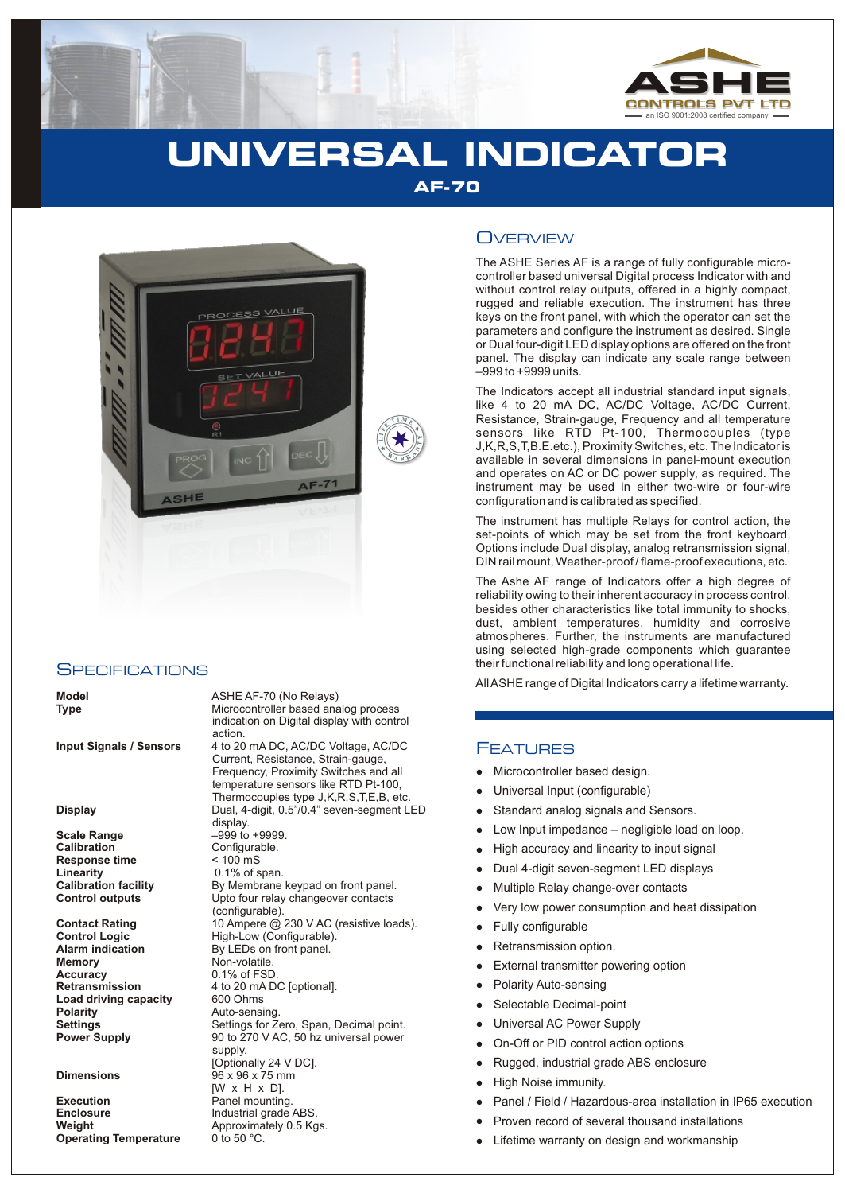

# **UNIVERSAL INDICATOR AF-70**



#### **SPECIFICATIONS**

**Scale Range** –999 to +9999.<br> **Calibration** – Configurable. **Response time Linearity** 0.1% of span.<br> **Calibration facility** By Membrane

**Accuracy** 0.1% of FSD.<br>**Retransmission** 4 to 20 mA D **Load driving capacity Polarity Manus Auto-sensing<br>
<b>Settings** Settings for Z

**Execution**<br> **Enclosure**<br> **Enclosure**<br> **Enclosure**<br> **Enclosure**<br> **Enclosure Enclosure** Industrial grade ABS.<br> **Weight Industrial Approximately 0.5 Kg Operating Temperature** 

**Model ASHE AF-70 (No Relays)**<br> **Type ASHE AF-70 (No Relays)** Microcontroller based analog process indication on Digital display with control action. **Input Signals / Sensors** 4 to 20 mA DC, AC/DC Voltage, AC/DC Current, Resistance, Strain-gauge, Frequency, Proximity Switches and all temperature sensors like RTD Pt-100, Thermocouples type J,K,R,S,T,E,B, etc. **Display** Dual, 4-digit, 0.5"/0.4" seven-segment LED display. Configurable.<br>< 100 mS **Calibration facility** By Membrane keypad on front panel.<br> **Control outputs** Upto four relay changeover contacts Upto four relay changeover contacts (configurable). **Contact Rating** 10 Ampere @ 230 V AC (resistive loads).<br> **Control Logic** High-Low (Configurable). **Control Logic** High-Low (Configurable).<br> **Alarm indication** By LEDs on front panel. **Alarm indication** By LEDs on front panel.<br>**Memory CONTENSITY Non-volatile. Memory** Non-volatile. **Retransmission** 4 to 20 mA DC [optional]. **Settings** Settings for Zero, Span, Decimal point.<br> **Power Supply** 90 to 270 V AC, 50 hz universal power **Power Supply** 90 to 270 V AC, 50 hz universal power supply. [Optionally 24 V DC]. **Dimensions** 96 x 96 x 75 mm [W x H x D]. Approximately 0.5 Kgs.<br>0 to 50 °C.

### **OVERVIEW**

The ASHE Series AF is a range of fully configurable microcontroller based universal Digital process Indicator with and without control relay outputs, offered in a highly compact, rugged and reliable execution. The instrument has three keys on the front panel, with which the operator can set the parameters and configure the instrument as desired. Single or Dual four-digit LED display options are offered on the front panel. The display can indicate any scale range between –999 to +9999 units.

The Indicators accept all industrial standard input signals, like 4 to 20 mA DC, AC/DC Voltage, AC/DC Current, Resistance, Strain-gauge, Frequency and all temperature sensors like RTD Pt-100, Thermocouples (type J,K,R,S,T,B.E.etc.), Proximity Switches, etc. The Indicator is available in several dimensions in panel-mount execution and operates on AC or DC power supply, as required. The instrument may be used in either two-wire or four-wire configuration and is calibrated as specified.

The instrument has multiple Relays for control action, the set-points of which may be set from the front keyboard. Options include Dual display, analog retransmission signal, DIN rail mount, Weather-proof / flame-proof executions, etc.

The Ashe AF range of Indicators offer a high degree of reliability owing to their inherent accuracy in process control, besides other characteristics like total immunity to shocks, dust, ambient temperatures, humidity and corrosive atmospheres. Further, the instruments are manufactured using selected high-grade components which guarantee their functional reliability and long operational life.

All ASHE range of Digital Indicators carry a lifetime warranty.

#### FEATURES

- Microcontroller based design.
- llliver and the Microsoft Controlling Controlling Controlling Controlling Controlling Controlling Controlling Controlling Controlling Controlling Controlling Controlling Controlling Controlling Controlling Controlling Con Universal Input (configurable)
- Standard analog signals and Sensors.
- Low Input impedance negligible load on loop.
- High accuracy and linearity to input signal  $\bullet$
- Dual 4-digit seven-segment LED displays  $\bullet$
- Multiple Relay change-over contacts
- Very low power consumption and heat dissipation
- Fully configurable  $\bullet$
- Retransmission option.
- External transmitter powering option  $\bullet$
- Polarity Auto-sensing
- Selectable Decimal-point  $\bullet$
- Universal AC Power Supply  $\bullet$
- On-Off or PID control action options  $\bullet$
- Rugged, industrial grade ABS enclosure
- High Noise immunity.
- Panel / Field / Hazardous-area installation in IP65 execution
- Proven record of several thousand installations
- Lifetime warranty on design and workmanship